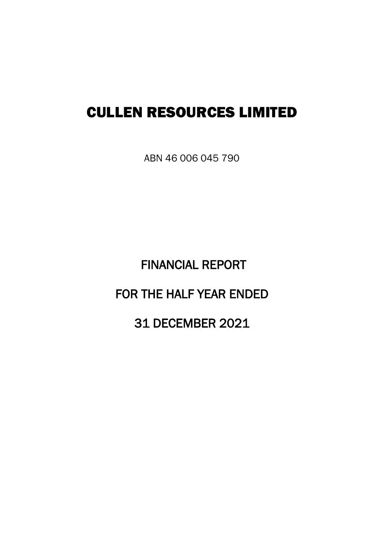# CULLEN RESOURCES LIMITED

ABN 46 006 045 790

 FINANCIAL REPORT FOR THE HALF YEAR ENDED 31 DECEMBER 2021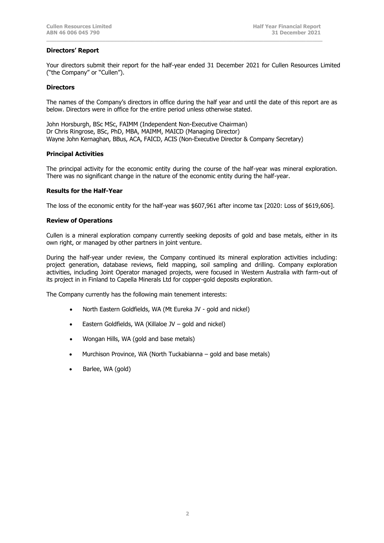# **Directors' Report**

Your directors submit their report for the half-year ended 31 December 2021 for Cullen Resources Limited ("the Company" or "Cullen").

**\_\_\_\_\_\_\_\_\_\_\_\_\_\_\_\_\_\_\_\_\_\_\_\_\_\_\_\_\_\_\_\_\_\_\_\_\_\_\_\_\_\_\_\_\_\_\_\_\_\_\_\_\_\_\_\_\_\_\_\_\_\_\_\_\_\_\_\_\_\_\_\_\_\_\_\_\_\_\_\_\_\_\_\_**

#### **Directors**

The names of the Company's directors in office during the half year and until the date of this report are as below. Directors were in office for the entire period unless otherwise stated.

John Horsburgh, BSc MSc, FAIMM (Independent Non-Executive Chairman) Dr Chris Ringrose, BSc, PhD, MBA, MAIMM, MAICD (Managing Director) Wayne John Kernaghan, BBus, ACA, FAICD, ACIS (Non-Executive Director & Company Secretary)

## **Principal Activities**

The principal activity for the economic entity during the course of the half-year was mineral exploration. There was no significant change in the nature of the economic entity during the half-year.

## **Results for the Half-Year**

The loss of the economic entity for the half-year was \$607,961 after income tax [2020: Loss of \$619,606].

## **Review of Operations**

Cullen is a mineral exploration company currently seeking deposits of gold and base metals, either in its own right, or managed by other partners in joint venture.

During the half-year under review, the Company continued its mineral exploration activities including: project generation, database reviews, field mapping, soil sampling and drilling. Company exploration activities, including Joint Operator managed projects, were focused in Western Australia with farm-out of its project in in Finland to Capella Minerals Ltd for copper-gold deposits exploration.

The Company currently has the following main tenement interests:

- North Eastern Goldfields, WA (Mt Eureka JV gold and nickel)
- Eastern Goldfields, WA (Killaloe JV gold and nickel)
- Wongan Hills, WA (gold and base metals)
- Murchison Province, WA (North Tuckabianna gold and base metals)
- Barlee, WA (gold)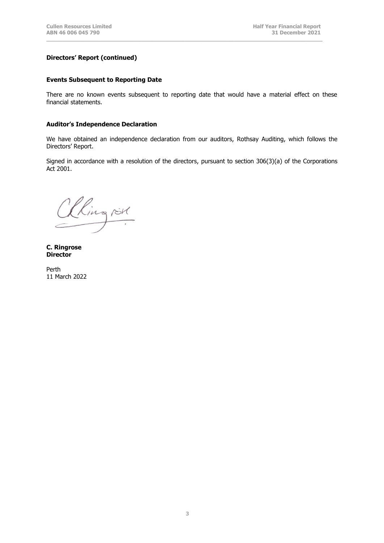# **Directors' Report (continued)**

## **Events Subsequent to Reporting Date**

There are no known events subsequent to reporting date that would have a material effect on these financial statements.

**\_\_\_\_\_\_\_\_\_\_\_\_\_\_\_\_\_\_\_\_\_\_\_\_\_\_\_\_\_\_\_\_\_\_\_\_\_\_\_\_\_\_\_\_\_\_\_\_\_\_\_\_\_\_\_\_\_\_\_\_\_\_\_\_\_\_\_\_\_\_\_\_\_\_\_\_\_\_\_\_\_\_\_\_**

#### **Auditor's Independence Declaration**

We have obtained an independence declaration from our auditors, Rothsay Auditing, which follows the Directors' Report.

Signed in accordance with a resolution of the directors, pursuant to section 306(3)(a) of the Corporations Act 2001.

Clingrik

**C. Ringrose Director**

Perth 11 March 2022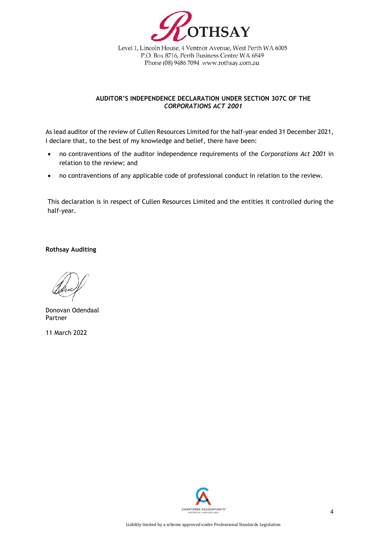

Level 1, Lincoln House, 4 Ventnor Avenue, West Perth WA 6005 P.O. Box 8716, Perth Business Centre WA 6849 Phone (08) 9486 7094 www.rothsay.com.au

# **AUDITOR'S INDEPENDENCE DECLARATION UNDER SECTION 307C OF THE**  *CORPORATIONS ACT 2001*

As lead auditor of the review of Cullen Resources Limited for the half-year ended 31 December 2021, I declare that, to the best of my knowledge and belief, there have been:

- no contraventions of the auditor independence requirements of the *Corporations Act 2001* in relation to the review; and
- no contraventions of any applicable code of professional conduct in relation to the review.

This declaration is in respect of Cullen Resources Limited and the entities it controlled during the half-year.

**Rothsay Auditing**

Donovan Odendaal Partner

11 March 2022

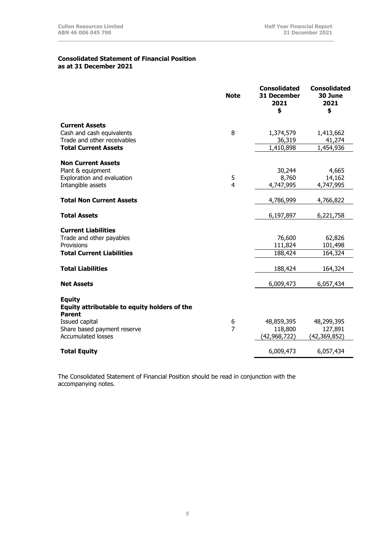## **Consolidated Statement of Financial Position as at 31 December 2021**

|                                              | <b>Note</b>    | <b>Consolidated</b><br><b>31 December</b><br>2021<br>\$ | <b>Consolidated</b><br>30 June<br>2021<br>\$ |
|----------------------------------------------|----------------|---------------------------------------------------------|----------------------------------------------|
| <b>Current Assets</b>                        |                |                                                         |                                              |
| Cash and cash equivalents                    | 8              | 1,374,579                                               | 1,413,662                                    |
| Trade and other receivables                  |                | 36,319                                                  | 41,274                                       |
| <b>Total Current Assets</b>                  |                | 1,410,898                                               | 1,454,936                                    |
| <b>Non Current Assets</b>                    |                |                                                         |                                              |
| Plant & equipment                            |                | 30,244                                                  | 4,665                                        |
| Exploration and evaluation                   | 5              | 8,760                                                   | 14,162                                       |
| Intangible assets                            | 4              | 4,747,995                                               | 4,747,995                                    |
| <b>Total Non Current Assets</b>              |                | 4,786,999                                               | 4,766,822                                    |
| <b>Total Assets</b>                          |                | 6,197,897                                               | 6,221,758                                    |
| <b>Current Liabilities</b>                   |                |                                                         |                                              |
| Trade and other payables                     |                | 76,600                                                  | 62,826                                       |
| Provisions                                   |                | 111,824                                                 | 101,498                                      |
| <b>Total Current Liabilities</b>             |                | 188,424                                                 | 164,324                                      |
| <b>Total Liabilities</b>                     |                | 188,424                                                 | 164,324                                      |
| <b>Net Assets</b>                            |                | 6,009,473                                               | 6,057,434                                    |
| <b>Equity</b>                                |                |                                                         |                                              |
| Equity attributable to equity holders of the |                |                                                         |                                              |
| <b>Parent</b>                                |                |                                                         |                                              |
| Issued capital                               | 6              | 48,859,395                                              | 48,299,395                                   |
| Share based payment reserve                  | $\overline{7}$ | 118,800                                                 | 127,891                                      |
| <b>Accumulated losses</b>                    |                | (42, 968, 722)                                          | (42,369,852)                                 |
| <b>Total Equity</b>                          |                | 6,009,473                                               | 6,057,434                                    |

**\_\_\_\_\_\_\_\_\_\_\_\_\_\_\_\_\_\_\_\_\_\_\_\_\_\_\_\_\_\_\_\_\_\_\_\_\_\_\_\_\_\_\_\_\_\_\_\_\_\_\_\_\_\_\_\_\_\_\_\_\_\_\_\_\_\_\_\_\_\_\_\_\_\_\_\_\_\_\_\_\_\_\_\_**

The Consolidated Statement of Financial Position should be read in conjunction with the accompanying notes.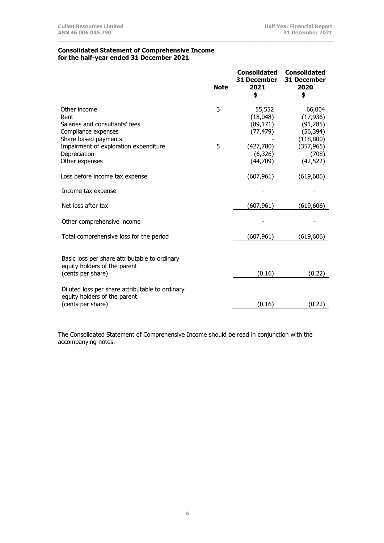#### **Consolidated Statement of Comprehensive Income for the half-year ended 31 December 2021**

| <b>Note</b> | <b>Consolidated</b><br>31 December<br>2021<br>\$ | <b>Consolidated</b><br><b>31 December</b><br>2020<br>\$                  |
|-------------|--------------------------------------------------|--------------------------------------------------------------------------|
| 3<br>5      | 55,552<br>(18,048)<br>(89, 171)<br>(77, 479)     | 66,004<br>(17, 936)<br>(91, 285)<br>(56, 394)<br>(118,800)<br>(357, 965) |
|             | (6,326)<br>(44,709)                              | (708)<br>(42, 522)                                                       |
|             | (607, 961)                                       | (619, 606)                                                               |
|             |                                                  |                                                                          |
|             | (607, 961)                                       | (619, 606)                                                               |
|             |                                                  |                                                                          |
|             | (607, 961)                                       | (619, 606)                                                               |
|             |                                                  | (0.22)                                                                   |
|             |                                                  | (0.22)                                                                   |
|             |                                                  | (427,780)<br>(0.16)<br>(0.16)                                            |

**\_\_\_\_\_\_\_\_\_\_\_\_\_\_\_\_\_\_\_\_\_\_\_\_\_\_\_\_\_\_\_\_\_\_\_\_\_\_\_\_\_\_\_\_\_\_\_\_\_\_\_\_\_\_\_\_\_\_\_\_\_\_\_\_\_\_\_\_\_\_\_\_\_\_\_\_\_\_\_\_\_\_\_\_**

The Consolidated Statement of Comprehensive Income should be read in conjunction with the accompanying notes.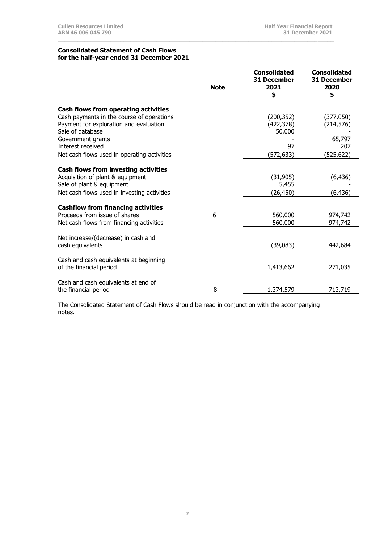#### **Consolidated Statement of Cash Flows for the half-year ended 31 December 2021**

|                                                                                          | <b>Note</b> | <b>Consolidated</b><br>31 December<br>2021<br>\$ | <b>Consolidated</b><br>31 December<br>2020<br>\$ |
|------------------------------------------------------------------------------------------|-------------|--------------------------------------------------|--------------------------------------------------|
| <b>Cash flows from operating activities</b><br>Cash payments in the course of operations |             | (200, 352)                                       | (377,050)                                        |
| Payment for exploration and evaluation<br>Sale of database                               |             | (422, 378)<br>50,000                             | (214, 576)                                       |
| Government grants<br>Interest received                                                   |             | 97                                               | 65,797<br>207                                    |
| Net cash flows used in operating activities                                              |             | (572, 633)                                       | (525,622)                                        |
| <b>Cash flows from investing activities</b><br>Acquisition of plant & equipment          |             | (31, 905)                                        | (6, 436)                                         |
| Sale of plant & equipment<br>Net cash flows used in investing activities                 |             | 5,455<br>(26, 450)                               | (6, 436)                                         |
| <b>Cashflow from financing activities</b><br>Proceeds from issue of shares               | 6           | 560,000                                          | 974,742                                          |
| Net cash flows from financing activities                                                 |             | 560,000                                          | 974,742                                          |
| Net increase/(decrease) in cash and<br>cash equivalents                                  |             | (39,083)                                         | 442,684                                          |
| Cash and cash equivalents at beginning<br>of the financial period                        |             | 1,413,662                                        | 271,035                                          |
| Cash and cash equivalents at end of<br>the financial period                              | 8           | 1,374,579                                        | 713,719                                          |

**\_\_\_\_\_\_\_\_\_\_\_\_\_\_\_\_\_\_\_\_\_\_\_\_\_\_\_\_\_\_\_\_\_\_\_\_\_\_\_\_\_\_\_\_\_\_\_\_\_\_\_\_\_\_\_\_\_\_\_\_\_\_\_\_\_\_\_\_\_\_\_\_\_\_\_\_\_\_\_\_\_\_\_\_**

The Consolidated Statement of Cash Flows should be read in conjunction with the accompanying notes.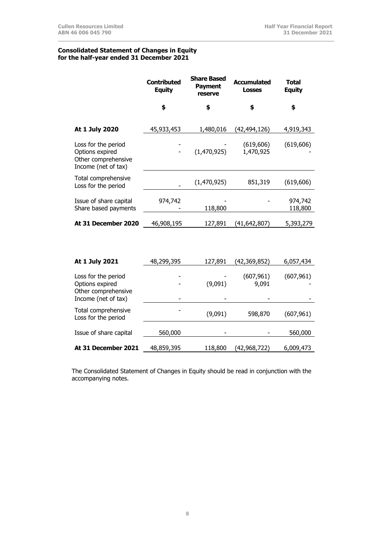#### **Consolidated Statement of Changes in Equity for the half-year ended 31 December 2021**

|                                                                                      | <b>Contributed</b><br><b>Equity</b> | <b>Share Based</b><br><b>Payment</b><br>reserve | <b>Accumulated</b><br><b>Losses</b> | <b>Total</b><br><b>Equity</b> |
|--------------------------------------------------------------------------------------|-------------------------------------|-------------------------------------------------|-------------------------------------|-------------------------------|
|                                                                                      | \$                                  | \$                                              | \$                                  | \$                            |
| At 1 July 2020                                                                       | 45,933,453                          | 1,480,016                                       | (42,494,126)                        | 4,919,343                     |
| Loss for the period<br>Options expired<br>Other comprehensive<br>Income (net of tax) |                                     | (1,470,925)                                     | (619, 606)<br>1,470,925             | (619, 606)                    |
| Total comprehensive<br>Loss for the period                                           |                                     | (1,470,925)                                     | 851,319                             | (619, 606)                    |
| Issue of share capital<br>Share based payments                                       | 974,742                             | 118,800                                         |                                     | 974,742<br>118,800            |
| At 31 December 2020                                                                  | 46,908,195                          | 127,891                                         | (41, 642, 807)                      | 5,393,279                     |
|                                                                                      |                                     |                                                 |                                     |                               |
| At 1 July 2021                                                                       | 48,299,395                          | 127,891                                         | (42,369,852)                        | 6,057,434                     |
| Loss for the period<br>Options expired<br>Other comprehensive                        |                                     | (9,091)                                         | (607, 961)<br>9,091                 | (607, 961)                    |
| Income (net of tax)                                                                  |                                     |                                                 |                                     |                               |
| Total comprehensive<br>Loss for the period                                           |                                     | (9,091)                                         | 598,870                             | (607, 961)                    |
| Issue of share capital                                                               | 560,000                             |                                                 |                                     | 560,000                       |
| At 31 December 2021                                                                  | 48,859,395                          | 118,800                                         | (42,968,722)                        | 6,009,473                     |

**\_\_\_\_\_\_\_\_\_\_\_\_\_\_\_\_\_\_\_\_\_\_\_\_\_\_\_\_\_\_\_\_\_\_\_\_\_\_\_\_\_\_\_\_\_\_\_\_\_\_\_\_\_\_\_\_\_\_\_\_\_\_\_\_\_\_\_\_\_\_\_\_\_\_\_\_\_\_\_\_\_\_\_\_**

The Consolidated Statement of Changes in Equity should be read in conjunction with the accompanying notes.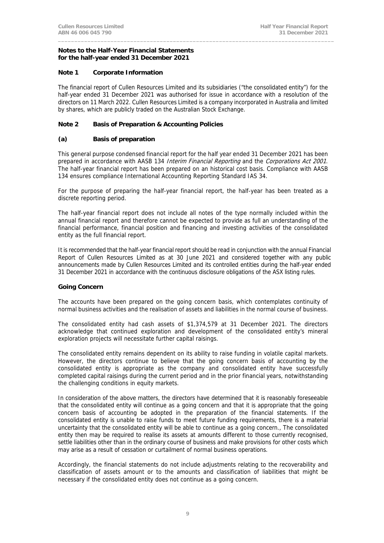#### **Notes to the Half-Year Financial Statements for the half-year ended 31 December 2021**

# **Note 1 Corporate Information**

The financial report of Cullen Resources Limited and its subsidiaries ("the consolidated entity") for the half-year ended 31 December 2021 was authorised for issue in accordance with a resolution of the directors on 11 March 2022. Cullen Resources Limited is a company incorporated in Australia and limited by shares, which are publicly traded on the Australian Stock Exchange.

**\_\_\_\_\_\_\_\_\_\_\_\_\_\_\_\_\_\_\_\_\_\_\_\_\_\_\_\_\_\_\_\_\_\_\_\_\_\_\_\_\_\_\_\_\_\_\_\_\_\_\_\_\_\_\_\_\_\_\_\_\_\_\_\_\_\_\_\_\_\_\_\_\_\_\_\_\_\_\_\_\_\_\_\_** 

# **Note 2 Basis of Preparation & Accounting Policies**

# **(a) Basis of preparation**

This general purpose condensed financial report for the half year ended 31 December 2021 has been prepared in accordance with AASB 134 Interim Financial Reporting and the Corporations Act 2001. The half-year financial report has been prepared on an historical cost basis. Compliance with AASB 134 ensures compliance International Accounting Reporting Standard IAS 34.

For the purpose of preparing the half-year financial report, the half-year has been treated as a discrete reporting period.

The half-year financial report does not include all notes of the type normally included within the annual financial report and therefore cannot be expected to provide as full an understanding of the financial performance, financial position and financing and investing activities of the consolidated entity as the full financial report.

It is recommended that the half-year financial report should be read in conjunction with the annual Financial Report of Cullen Resources Limited as at 30 June 2021 and considered together with any public announcements made by Cullen Resources Limited and its controlled entities during the half-year ended 31 December 2021 in accordance with the continuous disclosure obligations of the ASX listing rules.

# **Going Concern**

The accounts have been prepared on the going concern basis, which contemplates continuity of normal business activities and the realisation of assets and liabilities in the normal course of business.

The consolidated entity had cash assets of \$1,374,579 at 31 December 2021. The directors acknowledge that continued exploration and development of the consolidated entity's mineral exploration projects will necessitate further capital raisings.

The consolidated entity remains dependent on its ability to raise funding in volatile capital markets. However, the directors continue to believe that the going concern basis of accounting by the consolidated entity is appropriate as the company and consolidated entity have successfully completed capital raisings during the current period and in the prior financial years, notwithstanding the challenging conditions in equity markets.

In consideration of the above matters, the directors have determined that it is reasonably foreseeable that the consolidated entity will continue as a going concern and that it is appropriate that the going concern basis of accounting be adopted in the preparation of the financial statements. If the consolidated entity is unable to raise funds to meet future funding requirements, there is a material uncertainty that the consolidated entity will be able to continue as a going concern., The consolidated entity then may be required to realise its assets at amounts different to those currently recognised, settle liabilities other than in the ordinary course of business and make provisions for other costs which may arise as a result of cessation or curtailment of normal business operations.

Accordingly, the financial statements do not include adjustments relating to the recoverability and classification of assets amount or to the amounts and classification of liabilities that might be necessary if the consolidated entity does not continue as a going concern.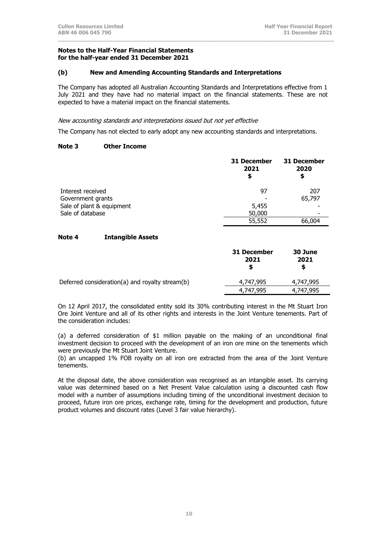#### **Notes to the Half-Year Financial Statements for the half-year ended 31 December 2021**

# **(b) New and Amending Accounting Standards and Interpretations**

The Company has adopted all Australian Accounting Standards and Interpretations effective from 1 July 2021 and they have had no material impact on the financial statements. These are not expected to have a material impact on the financial statements.

**\_\_\_\_\_\_\_\_\_\_\_\_\_\_\_\_\_\_\_\_\_\_\_\_\_\_\_\_\_\_\_\_\_\_\_\_\_\_\_\_\_\_\_\_\_\_\_\_\_\_\_\_\_\_\_\_\_\_\_\_\_\_\_\_\_\_\_\_\_\_\_\_\_\_\_\_\_\_\_\_\_\_\_\_**

## New accounting standards and interpretations issued but not yet effective

The Company has not elected to early adopt any new accounting standards and interpretations.

# **Note 3 Other Income**

|                           | <b>31 December</b><br>2021<br>\$ | <b>31 December</b><br>2020<br>\$ |
|---------------------------|----------------------------------|----------------------------------|
| Interest received         | 97                               | 207                              |
| Government grants         |                                  | 65,797                           |
| Sale of plant & equipment | 5,455                            |                                  |
| Sale of database          | 50,000                           |                                  |
|                           | 55,552                           | 66,004                           |

# **Note 4 Intangible Assets**

|                                                 | 31 December<br>2021<br>S | 30 June<br>2021<br>S |
|-------------------------------------------------|--------------------------|----------------------|
| Deferred consideration(a) and royalty stream(b) | 4,747,995                | 4,747,995            |
|                                                 | 4,747,995                | 4,747,995            |

On 12 April 2017, the consolidated entity sold its 30% contributing interest in the Mt Stuart Iron Ore Joint Venture and all of its other rights and interests in the Joint Venture tenements. Part of the consideration includes:

(a) a deferred consideration of \$1 million payable on the making of an unconditional final investment decision to proceed with the development of an iron ore mine on the tenements which were previously the Mt Stuart Joint Venture.

(b) an uncapped 1% FOB royalty on all iron ore extracted from the area of the Joint Venture tenements.

At the disposal date, the above consideration was recognised as an intangible asset. Its carrying value was determined based on a Net Present Value calculation using a discounted cash flow model with a number of assumptions including timing of the unconditional investment decision to proceed, future iron ore prices, exchange rate, timing for the development and production, future product volumes and discount rates (Level 3 fair value hierarchy).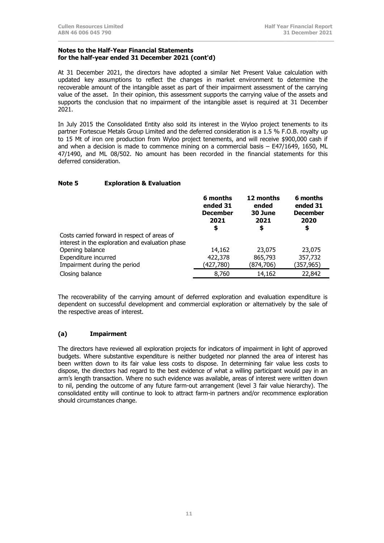#### **Notes to the Half-Year Financial Statements for the half-year ended 31 December 2021 (cont'd)**

At 31 December 2021, the directors have adopted a similar Net Present Value calculation with updated key assumptions to reflect the changes in market environment to determine the recoverable amount of the intangible asset as part of their impairment assessment of the carrying value of the asset. In their opinion, this assessment supports the carrying value of the assets and supports the conclusion that no impairment of the intangible asset is required at 31 December 2021.

**\_\_\_\_\_\_\_\_\_\_\_\_\_\_\_\_\_\_\_\_\_\_\_\_\_\_\_\_\_\_\_\_\_\_\_\_\_\_\_\_\_\_\_\_\_\_\_\_\_\_\_\_\_\_\_\_\_\_\_\_\_\_\_\_\_\_\_\_\_\_\_\_\_\_\_\_\_\_\_\_\_\_\_\_**

In July 2015 the Consolidated Entity also sold its interest in the Wyloo project tenements to its partner Fortescue Metals Group Limited and the deferred consideration is a 1.5 % F.O.B. royalty up to 15 Mt of iron ore production from Wyloo project tenements, and will receive \$900,000 cash if and when a decision is made to commence mining on a commercial basis – E47/1649, 1650, ML 47/1490, and ML 08/502. No amount has been recorded in the financial statements for this deferred consideration.

# **Note 5 Exploration & Evaluation**

|                                                  | 6 months<br>ended 31<br><b>December</b><br>2021<br>\$ | 12 months<br>ended<br>30 June<br>2021<br>\$ | 6 months<br>ended 31<br><b>December</b><br>2020<br>\$ |
|--------------------------------------------------|-------------------------------------------------------|---------------------------------------------|-------------------------------------------------------|
| Costs carried forward in respect of areas of     |                                                       |                                             |                                                       |
| interest in the exploration and evaluation phase |                                                       |                                             |                                                       |
| Opening balance                                  | 14,162                                                | 23,075                                      | 23,075                                                |
| Expenditure incurred                             | 422,378                                               | 865,793                                     | 357,732                                               |
| Impairment during the period                     | (427,780)                                             | (874,706)                                   | (357,965)                                             |
| Closing balance                                  | 8,760                                                 | 14,162                                      | 22,842                                                |

The recoverability of the carrying amount of deferred exploration and evaluation expenditure is dependent on successful development and commercial exploration or alternatively by the sale of the respective areas of interest.

# **(a) Impairment**

The directors have reviewed all exploration projects for indicators of impairment in light of approved budgets. Where substantive expenditure is neither budgeted nor planned the area of interest has been written down to its fair value less costs to dispose. In determining fair value less costs to dispose, the directors had regard to the best evidence of what a willing participant would pay in an arm's length transaction. Where no such evidence was available, areas of interest were written down to nil, pending the outcome of any future farm-out arrangement (level 3 fair value hierarchy). The consolidated entity will continue to look to attract farm-in partners and/or recommence exploration should circumstances change.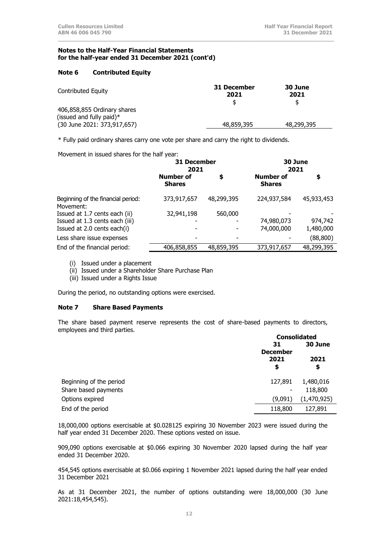#### **Notes to the Half-Year Financial Statements for the half-year ended 31 December 2021 (cont'd)**

# **Note 6 Contributed Equity**

| Contributed Equity          | 31 December<br>2021 | 30 June<br>2021 |
|-----------------------------|---------------------|-----------------|
|                             |                     | \$              |
| 406,858,855 Ordinary shares |                     |                 |
| (issued and fully paid)*    |                     |                 |
| (30 June 2021: 373,917,657) | 48,859,395          | 48,299,395      |
|                             |                     |                 |

**\_\_\_\_\_\_\_\_\_\_\_\_\_\_\_\_\_\_\_\_\_\_\_\_\_\_\_\_\_\_\_\_\_\_\_\_\_\_\_\_\_\_\_\_\_\_\_\_\_\_\_\_\_\_\_\_\_\_\_\_\_\_\_\_\_\_\_\_\_\_\_\_\_\_\_\_\_\_\_\_\_\_\_\_**

\* Fully paid ordinary shares carry one vote per share and carry the right to dividends.

Movement in issued shares for the half year:

|                                                 | 31 December<br>2021               |            | 30 June<br>2021                   |            |
|-------------------------------------------------|-----------------------------------|------------|-----------------------------------|------------|
|                                                 | <b>Number of</b><br><b>Shares</b> | \$         | <b>Number of</b><br><b>Shares</b> | \$         |
| Beginning of the financial period:<br>Movement: | 373,917,657                       | 48,299,395 | 224,937,584                       | 45,933,453 |
| Issued at 1.7 cents each (ii)                   | 32,941,198                        | 560,000    |                                   |            |
| Issued at 1.3 cents each (iii)                  |                                   |            | 74,980,073                        | 974,742    |
| Issued at 2.0 cents each(i)                     |                                   |            | 74,000,000                        | 1,480,000  |
| Less share issue expenses                       |                                   |            |                                   | (88, 800)  |
| End of the financial period:                    | 406,858,855                       | 48,859,395 | 373,917,657                       | 48,299,395 |

(i) Issued under a placement

(ii) Issued under a Shareholder Share Purchase Plan

(iii) Issued under a Rights Issue

During the period, no outstanding options were exercised.

#### **Note 7 Share Based Payments**

The share based payment reserve represents the cost of share-based payments to directors, employees and third parties.

|                         | <b>Consolidated</b>              |             |  |
|-------------------------|----------------------------------|-------------|--|
|                         | 31<br>30 June<br><b>December</b> |             |  |
|                         |                                  |             |  |
|                         | 2021<br>2021                     |             |  |
|                         | \$                               | \$          |  |
| Beginning of the period | 127,891                          | 1,480,016   |  |
| Share based payments    | -                                | 118,800     |  |
| Options expired         | (9,091)                          | (1,470,925) |  |
| End of the period       | 118,800                          | 127,891     |  |

18,000,000 options exercisable at \$0.028125 expiring 30 November 2023 were issued during the half year ended 31 December 2020. These options vested on issue.

909,090 options exercisable at \$0.066 expiring 30 November 2020 lapsed during the half year ended 31 December 2020.

454,545 options exercisable at \$0.066 expiring 1 November 2021 lapsed during the half year ended 31 December 2021

As at 31 December 2021, the number of options outstanding were 18,000,000 (30 June 2021:18,454,545).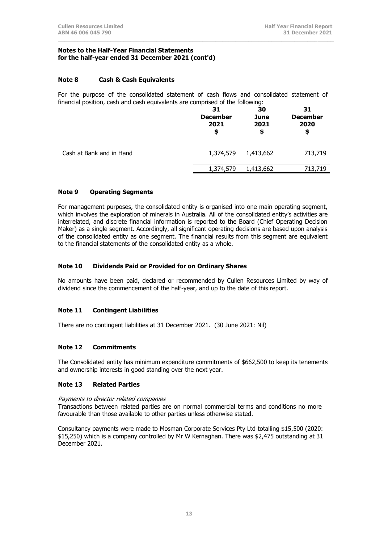#### **Notes to the Half-Year Financial Statements for the half-year ended 31 December 2021 (cont'd)**

# **Note 8 Cash & Cash Equivalents**

For the purpose of the consolidated statement of cash flows and consolidated statement of financial position, cash and cash equivalents are comprised of the following:

**\_\_\_\_\_\_\_\_\_\_\_\_\_\_\_\_\_\_\_\_\_\_\_\_\_\_\_\_\_\_\_\_\_\_\_\_\_\_\_\_\_\_\_\_\_\_\_\_\_\_\_\_\_\_\_\_\_\_\_\_\_\_\_\_\_\_\_\_\_\_\_\_\_\_\_\_\_\_\_\_\_\_\_\_**

| 31<br><b>December</b><br>2021<br>\$ | 30<br>June<br>2021<br>\$ | 31<br><b>December</b><br>2020<br>\$ |
|-------------------------------------|--------------------------|-------------------------------------|
| 1,374,579                           | 1,413,662                | 713,719                             |
| 1,374,579                           | 1,413,662                | 713,719                             |
|                                     |                          |                                     |

# **Note 9 Operating Segments**

For management purposes, the consolidated entity is organised into one main operating segment, which involves the exploration of minerals in Australia. All of the consolidated entity's activities are interrelated, and discrete financial information is reported to the Board (Chief Operating Decision Maker) as a single segment. Accordingly, all significant operating decisions are based upon analysis of the consolidated entity as one segment. The financial results from this segment are equivalent to the financial statements of the consolidated entity as a whole.

## **Note 10 Dividends Paid or Provided for on Ordinary Shares**

No amounts have been paid, declared or recommended by Cullen Resources Limited by way of dividend since the commencement of the half-year, and up to the date of this report.

# **Note 11 Contingent Liabilities**

There are no contingent liabilities at 31 December 2021. (30 June 2021: Nil)

# **Note 12 Commitments**

The Consolidated entity has minimum expenditure commitments of \$662,500 to keep its tenements and ownership interests in good standing over the next year.

## **Note 13 Related Parties**

#### Payments to director related companies

Transactions between related parties are on normal commercial terms and conditions no more favourable than those available to other parties unless otherwise stated.

Consultancy payments were made to Mosman Corporate Services Pty Ltd totalling \$15,500 (2020: \$15,250) which is a company controlled by Mr W Kernaghan. There was \$2,475 outstanding at 31 December 2021.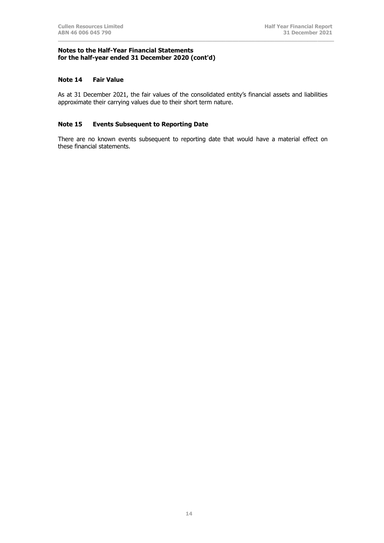#### **Notes to the Half-Year Financial Statements for the half-year ended 31 December 2020 (cont'd)**

#### **Note 14 Fair Value**

As at 31 December 2021, the fair values of the consolidated entity's financial assets and liabilities approximate their carrying values due to their short term nature.

**\_\_\_\_\_\_\_\_\_\_\_\_\_\_\_\_\_\_\_\_\_\_\_\_\_\_\_\_\_\_\_\_\_\_\_\_\_\_\_\_\_\_\_\_\_\_\_\_\_\_\_\_\_\_\_\_\_\_\_\_\_\_\_\_\_\_\_\_\_\_\_\_\_\_\_\_\_\_\_\_\_\_\_\_**

# **Note 15 Events Subsequent to Reporting Date**

There are no known events subsequent to reporting date that would have a material effect on these financial statements.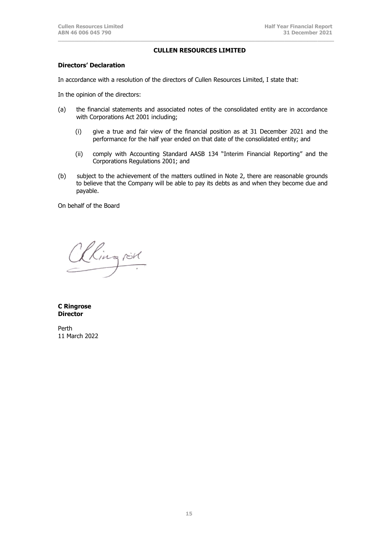#### **CULLEN RESOURCES LIMITED**

**\_\_\_\_\_\_\_\_\_\_\_\_\_\_\_\_\_\_\_\_\_\_\_\_\_\_\_\_\_\_\_\_\_\_\_\_\_\_\_\_\_\_\_\_\_\_\_\_\_\_\_\_\_\_\_\_\_\_\_\_\_\_\_\_\_\_\_\_\_\_\_\_\_\_\_\_\_\_\_\_\_\_\_\_**

# **Directors' Declaration**

In accordance with a resolution of the directors of Cullen Resources Limited, I state that:

In the opinion of the directors:

- (a) the financial statements and associated notes of the consolidated entity are in accordance with Corporations Act 2001 including;
	- (i) give a true and fair view of the financial position as at 31 December 2021 and the performance for the half year ended on that date of the consolidated entity; and
	- (ii) comply with Accounting Standard AASB 134 "Interim Financial Reporting" and the Corporations Regulations 2001; and
- (b) subject to the achievement of the matters outlined in Note 2, there are reasonable grounds to believe that the Company will be able to pay its debts as and when they become due and payable.

On behalf of the Board

Ringrist

**C Ringrose Director**

Perth 11 March 2022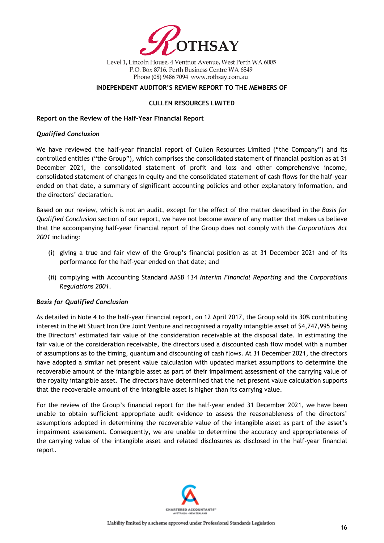

Level 1, Lincoln House, 4 Ventnor Avenue, West Perth WA 6005 P.O. Box 8716, Perth Business Centre WA 6849 Phone (08) 9486 7094 www.rothsay.com.au

# **INDEPENDENT AUDITOR'S REVIEW REPORT TO THE MEMBERS OF**

## **CULLEN RESOURCES LIMITED**

## **Report on the Review of the Half-Year Financial Report**

## *Qualified Conclusion*

We have reviewed the half-year financial report of Cullen Resources Limited ("the Company") and its controlled entities ("the Group"), which comprises the consolidated statement of financial position as at 31 December 2021, the consolidated statement of profit and loss and other comprehensive income, consolidated statement of changes in equity and the consolidated statement of cash flows for the half-year ended on that date, a summary of significant accounting policies and other explanatory information, and the directors' declaration.

Based on our review, which is not an audit, except for the effect of the matter described in the *Basis for Qualified Conclusion* section of our report, we have not become aware of any matter that makes us believe that the accompanying half-year financial report of the Group does not comply with the *Corporations Act 2001* including:

- (i) giving a true and fair view of the Group's financial position as at 31 December 2021 and of its performance for the half-year ended on that date; and
- (ii) complying with Accounting Standard AASB 134 *Interim Financial Reporting* and the *Corporations Regulations 2001*.

# *Basis for Qualified Conclusion*

As detailed in Note 4 to the half-year financial report, on 12 April 2017, the Group sold its 30% contributing interest in the Mt Stuart Iron Ore Joint Venture and recognised a royalty intangible asset of \$4,747,995 being the Directors' estimated fair value of the consideration receivable at the disposal date. In estimating the fair value of the consideration receivable, the directors used a discounted cash flow model with a number of assumptions as to the timing, quantum and discounting of cash flows. At 31 December 2021, the directors have adopted a similar net present value calculation with updated market assumptions to determine the recoverable amount of the intangible asset as part of their impairment assessment of the carrying value of the royalty intangible asset. The directors have determined that the net present value calculation supports that the recoverable amount of the intangible asset is higher than its carrying value.

For the review of the Group's financial report for the half-year ended 31 December 2021, we have been unable to obtain sufficient appropriate audit evidence to assess the reasonableness of the directors' assumptions adopted in determining the recoverable value of the intangible asset as part of the asset's impairment assessment. Consequently, we are unable to determine the accuracy and appropriateness of the carrying value of the intangible asset and related disclosures as disclosed in the half-year financial report.

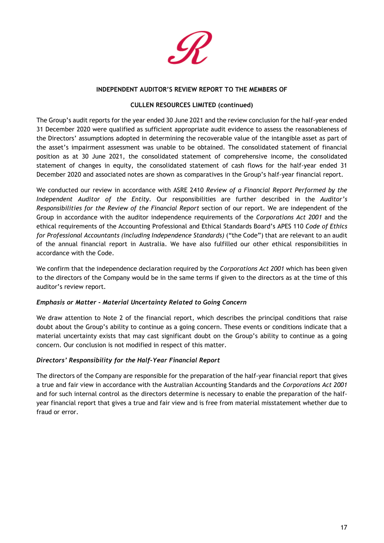

## **INDEPENDENT AUDITOR'S REVIEW REPORT TO THE MEMBERS OF**

# **CULLEN RESOURCES LIMITED (continued)**

The Group's audit reports for the year ended 30 June 2021 and the review conclusion for the half-year ended 31 December 2020 were qualified as sufficient appropriate audit evidence to assess the reasonableness of the Directors' assumptions adopted in determining the recoverable value of the intangible asset as part of the asset's impairment assessment was unable to be obtained. The consolidated statement of financial position as at 30 June 2021, the consolidated statement of comprehensive income, the consolidated statement of changes in equity, the consolidated statement of cash flows for the half-year ended 31 December 2020 and associated notes are shown as comparatives in the Group's half-year financial report.

We conducted our review in accordance with ASRE 2410 *Review of a Financial Report Performed by the Independent Auditor of the Entity*. Our responsibilities are further described in the *Auditor's Responsibilities for the Review of the Financial Report* section of our report. We are independent of the Group in accordance with the auditor independence requirements of the *Corporations Act 2001* and the ethical requirements of the Accounting Professional and Ethical Standards Board's APES 110 *Code of Ethics for Professional Accountants (including Independence Standards)* ("the Code") that are relevant to an audit of the annual financial report in Australia. We have also fulfilled our other ethical responsibilities in accordance with the Code.

We confirm that the independence declaration required by the *Corporations Act 2001* which has been given to the directors of the Company would be in the same terms if given to the directors as at the time of this auditor's review report.

# *Emphasis or Matter - Material Uncertainty Related to Going Concern*

We draw attention to Note 2 of the financial report, which describes the principal conditions that raise doubt about the Group's ability to continue as a going concern. These events or conditions indicate that a material uncertainty exists that may cast significant doubt on the Group's ability to continue as a going concern. Our conclusion is not modified in respect of this matter.

# *Directors' Responsibility for the Half-Year Financial Report*

The directors of the Company are responsible for the preparation of the half-year financial report that gives a true and fair view in accordance with the Australian Accounting Standards and the *Corporations Act 2001* and for such internal control as the directors determine is necessary to enable the preparation of the halfyear financial report that gives a true and fair view and is free from material misstatement whether due to fraud or error.